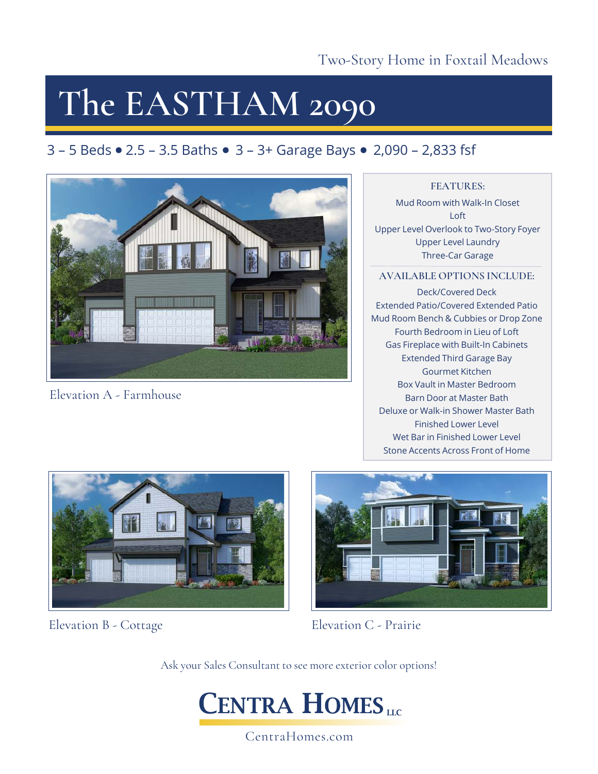## **The EASTHAM 2090**

### 3 – 5 Beds  $\bullet$  2.5 – 3.5 Baths  $\bullet$  3 – 3+ Garage Bays  $\bullet$  2,090 – 2,833 fsf



Elevation A - Farmhouse

### **FEATURES:**

Mud Room with Walk-In Closet Loft Upper Level Overlook to Two-Story Foyer Upper Level Laundry Three-Car Garage

### **AVAILABLE OPTIONS INCLUDE:**

Deck/Covered Deck Extended Patio/Covered Extended Patio Mud Room Bench & Cubbies or Drop Zone Fourth Bedroom in Lieu of Loft Gas Fireplace with Built-In Cabinets Extended Third Garage Bay Gourmet Kitchen Box Vault in Master Bedroom Barn Door at Master Bath Deluxe or Walk-in Shower Master Bath Finished Lower Level Wet Bar in Finished Lower Level Stone Accents Across Front of Home



Elevation B - Cottage



Elevation C - Prairie

Ask your Sales Consultant to see more exterior color options!



CentraHomes.com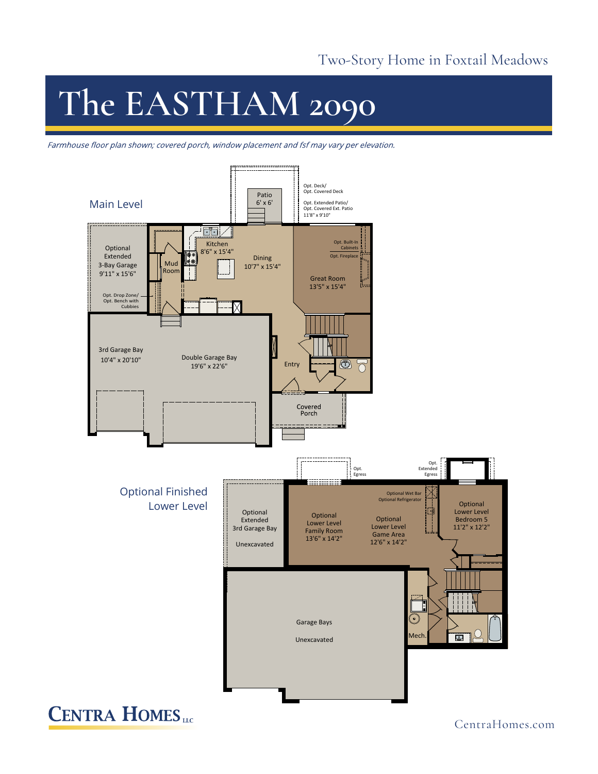# **The EASTHAM 2090**

Farmhouse floor plan shown; covered porch, window placement and fsf may vary per elevation.



**CENTRA HOMES**<sub>LLC</sub>

CentraHomes.com